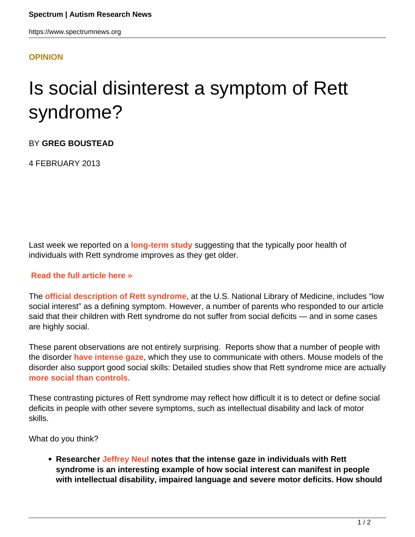## **[OPINION](HTTPS://WWW.SPECTRUMNEWS.ORG/OPINION/)**

## Is social disinterest a symptom of Rett syndrome?

BY **GREG BOUSTEAD**

4 FEBRUARY 2013

Last week we reported on a **[long-term study](https://www.spectrumnews.org/in-brief/2013/clinical-research-women-with-rett-fare-well-over-time)** suggesting that the typically poor health of individuals with Rett syndrome improves as they get older.

## **[Read the full article here »](https://www.spectrumnews.org/in-brief/2013/clinical-research-women-with-rett-fare-well-over-time)**

The **[official description of Rett syndrome](http://www.ncbi.nlm.nih.gov/pubmedhealth/PMH0002503/)**, at the U.S. National Library of Medicine, includes "low social interest" as a defining symptom. However, a number of parents who responded to our article said that their children with Rett syndrome do not suffer from social deficits — and in some cases are highly social.

These parent observations are not entirely surprising. Reports show that a number of people with the disorder **[have intense gaze](http://www.ncbi.nlm.nih.gov/pubmed/22490770)**, which they use to communicate with others. Mouse models of the disorder also support good social skills: Detailed studies show that Rett syndrome mice are actually **[more social than controls](https://www.spectrumnews.org/in-brief/2011/cognition-and-behavior-rett-syndrome-mice-are-social)**.

These contrasting pictures of Rett syndrome may reflect how difficult it is to detect or define social deficits in people with other severe symptoms, such as intellectual disability and lack of motor skills.

What do you think?

**Researcher [Jeffrey Neul](http://www.bcm.edu/genetics/?pmid=13556) notes that the intense gaze in individuals with Rett syndrome is an interesting example of how social interest can manifest in people with intellectual disability, impaired language and severe motor deficits. How should**